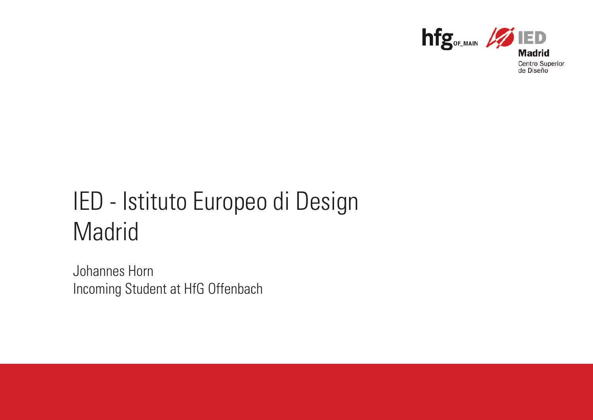

## IED - Istituto Europeo di Design **Madrid**

Johannes Horn Incoming Student at HfG Offenbach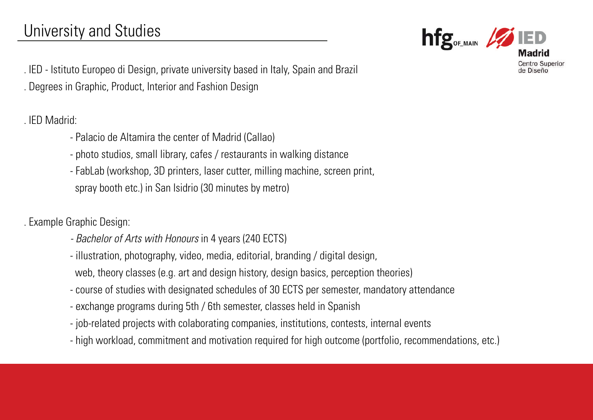## University and Studies



- . IED Istituto Europeo di Design, private university based in Italy, Spain and Brazil
- . Degrees in Graphic, Product, Interior and Fashion Design

. IED Madrid:

- Palacio de Altamira the center of Madrid (Callao)
- photo studios, small library, cafes / restaurants in walking distance
- FabLab (workshop, 3D printers, laser cutter, milling machine, screen print, spray booth etc.) in San Isidrio (30 minutes by metro)

. Example Graphic Design:

- *Bachelor of Arts with Honours* in 4 years (240 ECTS)
- illustration, photography, video, media, editorial, branding / digital design,
- web, theory classes (e.g. art and design history, design basics, perception theories)
- course of studies with designated schedules of 30 ECTS per semester, mandatory attendance
- exchange programs during 5th / 6th semester, classes held in Spanish
- job-related projects with colaborating companies, institutions, contests, internal events
- high workload, commitment and motivation required for high outcome (portfolio, recommendations, etc.)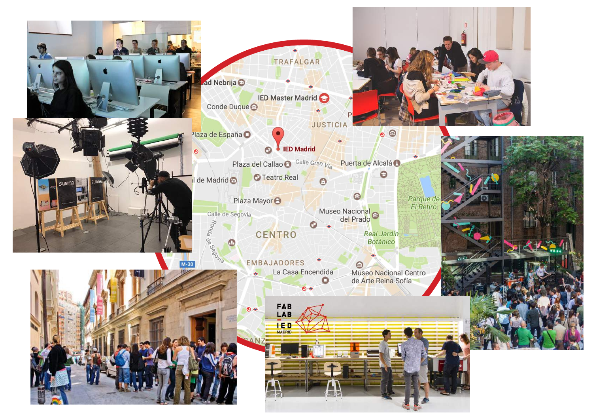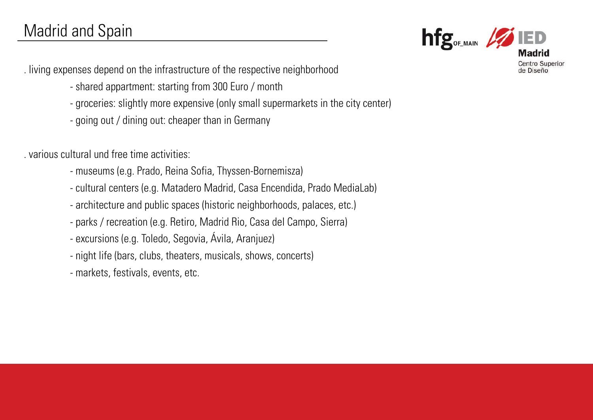## Madrid and Spain



- . living expenses depend on the infrastructure of the respective neighborhood
	- shared appartment: starting from 300 Euro / month
	- groceries: slightly more expensive (only small supermarkets in the city center)
	- going out / dining out: cheaper than in Germany

. various cultural und free time activities:

- museums (e.g. Prado, Reina Sofia, Thyssen-Bornemisza)
- cultural centers (e.g. Matadero Madrid, Casa Encendida, Prado MediaLab)
- architecture and public spaces (historic neighborhoods, palaces, etc.)
- parks / recreation (e.g. Retiro, Madrid Rio, Casa del Campo, Sierra)
- excursions (e.g. Toledo, Segovia, Ávila, Aranjuez)
- night life (bars, clubs, theaters, musicals, shows, concerts)
- markets, festivals, events, etc.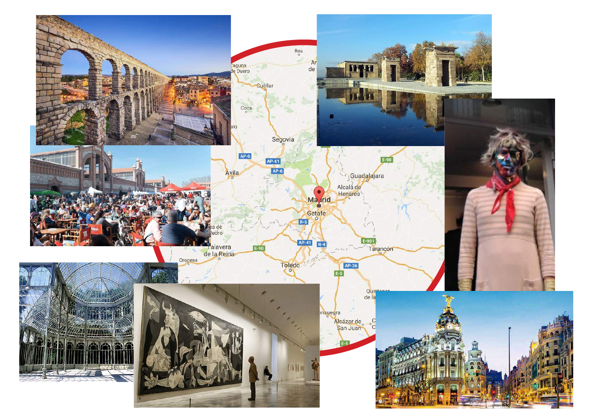